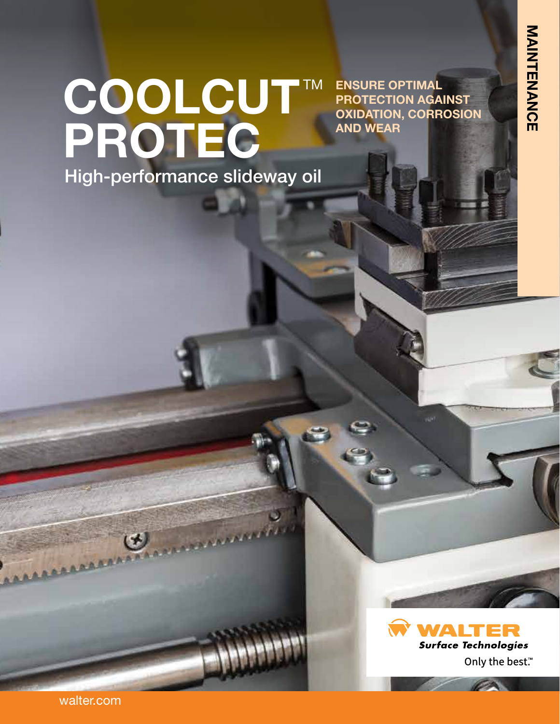**ENSURE OPTIMAL** 

**AND WEAR**

**PROTECTION AGAINST OXIDATION, CORROSION** 

# COOLCUT™ **PROTEC** High-performance slideway oil



walter.com

AAAAAAAAAAAAAA